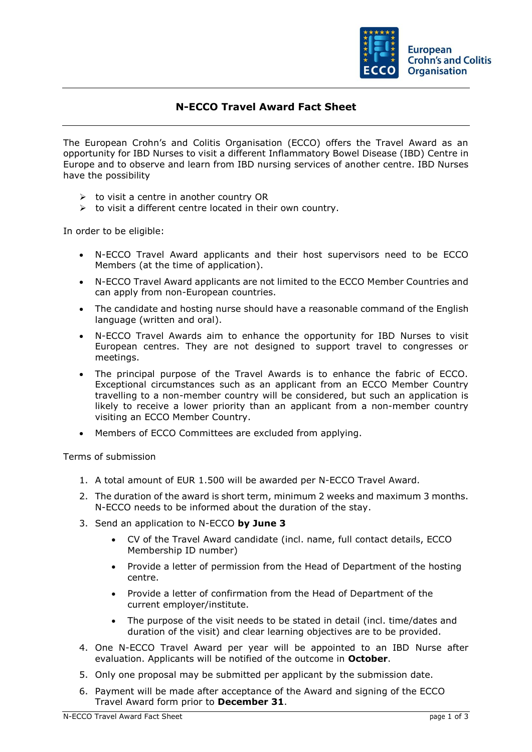

## **N-ECCO Travel Award Fact Sheet**

The European Crohn's and Colitis Organisation (ECCO) offers the Travel Award as an opportunity for IBD Nurses to visit a different Inflammatory Bowel Disease (IBD) Centre in Europe and to observe and learn from IBD nursing services of another centre. IBD Nurses have the possibility

- $\triangleright$  to visit a centre in another country OR
- $\triangleright$  to visit a different centre located in their own country.

In order to be eligible:

- N-ECCO Travel Award applicants and their host supervisors need to be ECCO Members (at the time of application).
- N-ECCO Travel Award applicants are not limited to the ECCO Member Countries and can apply from non-European countries.
- The candidate and hosting nurse should have a reasonable command of the English language (written and oral).
- N-ECCO Travel Awards aim to enhance the opportunity for IBD Nurses to visit European centres. They are not designed to support travel to congresses or meetings.
- The principal purpose of the Travel Awards is to enhance the fabric of ECCO. Exceptional circumstances such as an applicant from an ECCO Member Country travelling to a non-member country will be considered, but such an application is likely to receive a lower priority than an applicant from a non-member country visiting an ECCO Member Country.
- Members of ECCO Committees are excluded from applying.

Terms of submission

- 1. A total amount of EUR 1.500 will be awarded per N-ECCO Travel Award.
- 2. The duration of the award is short term, minimum 2 weeks and maximum 3 months. N-ECCO needs to be informed about the duration of the stay.
- 3. Send an application to N-ECCO **by June 3**
	- CV of the Travel Award candidate (incl. name, full contact details, ECCO Membership ID number)
	- Provide a letter of permission from the Head of Department of the hosting centre.
	- Provide a letter of confirmation from the Head of Department of the current employer/institute.
	- The purpose of the visit needs to be stated in detail (incl. time/dates and duration of the visit) and clear learning objectives are to be provided.
- 4. One N-ECCO Travel Award per year will be appointed to an IBD Nurse after evaluation. Applicants will be notified of the outcome in **October**.
- 5. Only one proposal may be submitted per applicant by the submission date.
- 6. Payment will be made after acceptance of the Award and signing of the ECCO Travel Award form prior to **December 31**.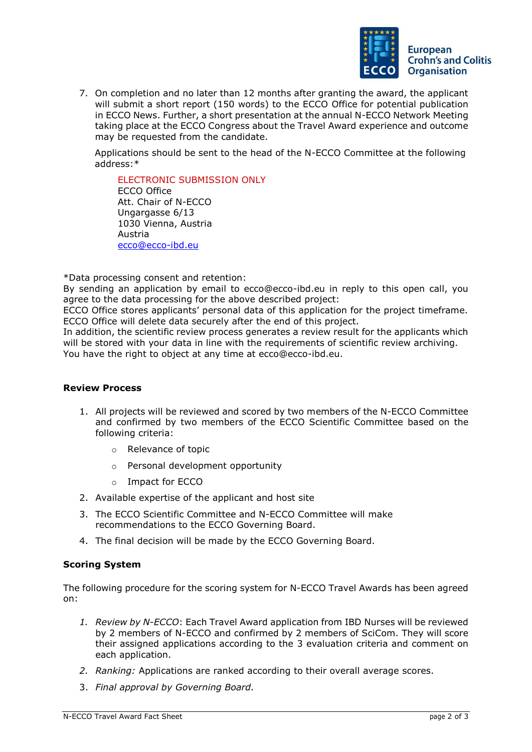

7. On completion and no later than 12 months after granting the award, the applicant will submit a short report (150 words) to the ECCO Office for potential publication in ECCO News. Further, a short presentation at the annual N-ECCO Network Meeting taking place at the ECCO Congress about the Travel Award experience and outcome may be requested from the candidate.

Applications should be sent to the head of the N-ECCO Committee at the following address:\*

ELECTRONIC SUBMISSION ONLY ECCO Office Att. Chair of N-ECCO Ungargasse 6/13 1030 Vienna, Austria Austria [ecco@ecco-ibd.eu](mailto:ecco@ecco-ibd.eu)

\*Data processing consent and retention:

By sending an application by email to ecco@ecco-ibd.eu in reply to this open call, you agree to the data processing for the above described project:

ECCO Office stores applicants' personal data of this application for the project timeframe. ECCO Office will delete data securely after the end of this project.

In addition, the scientific review process generates a review result for the applicants which will be stored with your data in line with the requirements of scientific review archiving. You have the right to object at any time at ecco@ecco-ibd.eu.

## **Review Process**

- 1. All projects will be reviewed and scored by two members of the N-ECCO Committee and confirmed by two members of the ECCO Scientific Committee based on the following criteria:
	- o Relevance of topic
	- o Personal development opportunity
	- o Impact for ECCO
- 2. Available expertise of the applicant and host site
- 3. The ECCO Scientific Committee and N-ECCO Committee will make recommendations to the ECCO Governing Board.
- 4. The final decision will be made by the ECCO Governing Board.

## **Scoring System**

The following procedure for the scoring system for N-ECCO Travel Awards has been agreed on:

- *1. Review by N-ECCO*: Each Travel Award application from IBD Nurses will be reviewed by 2 members of N-ECCO and confirmed by 2 members of SciCom. They will score their assigned applications according to the 3 evaluation criteria and comment on each application.
- *2. Ranking:* Applications are ranked according to their overall average scores.
- 3. *Final approval by Governing Board.*